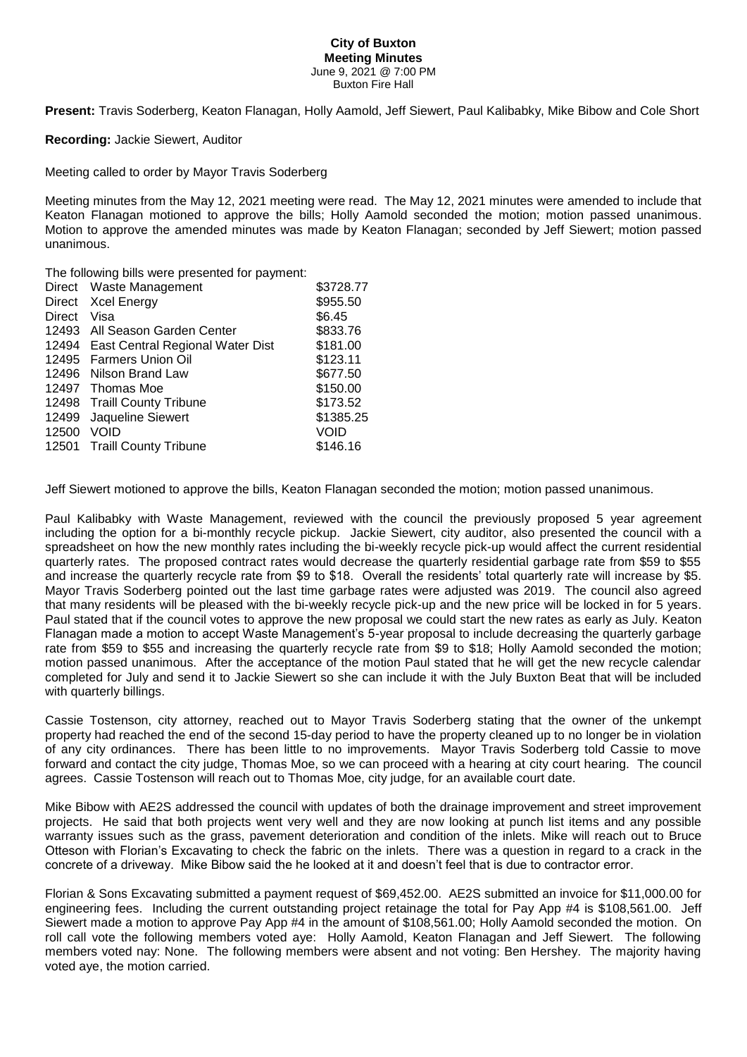## **City of Buxton Meeting Minutes** June 9, 2021 @ 7:00 PM Buxton Fire Hall

**Present:** Travis Soderberg, Keaton Flanagan, Holly Aamold, Jeff Siewert, Paul Kalibabky, Mike Bibow and Cole Short

**Recording:** Jackie Siewert, Auditor

Meeting called to order by Mayor Travis Soderberg

Meeting minutes from the May 12, 2021 meeting were read. The May 12, 2021 minutes were amended to include that Keaton Flanagan motioned to approve the bills; Holly Aamold seconded the motion; motion passed unanimous. Motion to approve the amended minutes was made by Keaton Flanagan; seconded by Jeff Siewert; motion passed unanimous.

The following bills were presented for payment:

|        | Direct Waste Management                | \$3728.77 |
|--------|----------------------------------------|-----------|
|        | Direct Xcel Energy                     | \$955.50  |
| Direct | Visa                                   | \$6.45    |
|        | 12493 All Season Garden Center         | \$833.76  |
|        | 12494 East Central Regional Water Dist | \$181.00  |
|        | 12495 Farmers Union Oil                | \$123.11  |
|        | 12496 Nilson Brand Law                 | \$677.50  |
|        | 12497 Thomas Moe                       | \$150.00  |
|        | 12498 Traill County Tribune            | \$173.52  |
|        | 12499 Jaqueline Siewert                | \$1385.25 |
| 12500  | VOID                                   | VOID      |
|        | 12501 Traill County Tribune            | \$146.16  |
|        |                                        |           |

Jeff Siewert motioned to approve the bills, Keaton Flanagan seconded the motion; motion passed unanimous.

Paul Kalibabky with Waste Management, reviewed with the council the previously proposed 5 year agreement including the option for a bi-monthly recycle pickup. Jackie Siewert, city auditor, also presented the council with a spreadsheet on how the new monthly rates including the bi-weekly recycle pick-up would affect the current residential quarterly rates. The proposed contract rates would decrease the quarterly residential garbage rate from \$59 to \$55 and increase the quarterly recycle rate from \$9 to \$18. Overall the residents' total quarterly rate will increase by \$5. Mayor Travis Soderberg pointed out the last time garbage rates were adjusted was 2019. The council also agreed that many residents will be pleased with the bi-weekly recycle pick-up and the new price will be locked in for 5 years. Paul stated that if the council votes to approve the new proposal we could start the new rates as early as July. Keaton Flanagan made a motion to accept Waste Management's 5-year proposal to include decreasing the quarterly garbage rate from \$59 to \$55 and increasing the quarterly recycle rate from \$9 to \$18; Holly Aamold seconded the motion; motion passed unanimous. After the acceptance of the motion Paul stated that he will get the new recycle calendar completed for July and send it to Jackie Siewert so she can include it with the July Buxton Beat that will be included with quarterly billings.

Cassie Tostenson, city attorney, reached out to Mayor Travis Soderberg stating that the owner of the unkempt property had reached the end of the second 15-day period to have the property cleaned up to no longer be in violation of any city ordinances. There has been little to no improvements. Mayor Travis Soderberg told Cassie to move forward and contact the city judge, Thomas Moe, so we can proceed with a hearing at city court hearing. The council agrees. Cassie Tostenson will reach out to Thomas Moe, city judge, for an available court date.

Mike Bibow with AE2S addressed the council with updates of both the drainage improvement and street improvement projects. He said that both projects went very well and they are now looking at punch list items and any possible warranty issues such as the grass, pavement deterioration and condition of the inlets. Mike will reach out to Bruce Otteson with Florian's Excavating to check the fabric on the inlets. There was a question in regard to a crack in the concrete of a driveway. Mike Bibow said the he looked at it and doesn't feel that is due to contractor error.

Florian & Sons Excavating submitted a payment request of \$69,452.00. AE2S submitted an invoice for \$11,000.00 for engineering fees. Including the current outstanding project retainage the total for Pay App #4 is \$108,561.00. Jeff Siewert made a motion to approve Pay App #4 in the amount of \$108,561.00; Holly Aamold seconded the motion. On roll call vote the following members voted aye: Holly Aamold, Keaton Flanagan and Jeff Siewert. The following members voted nay: None. The following members were absent and not voting: Ben Hershey. The majority having voted aye, the motion carried.